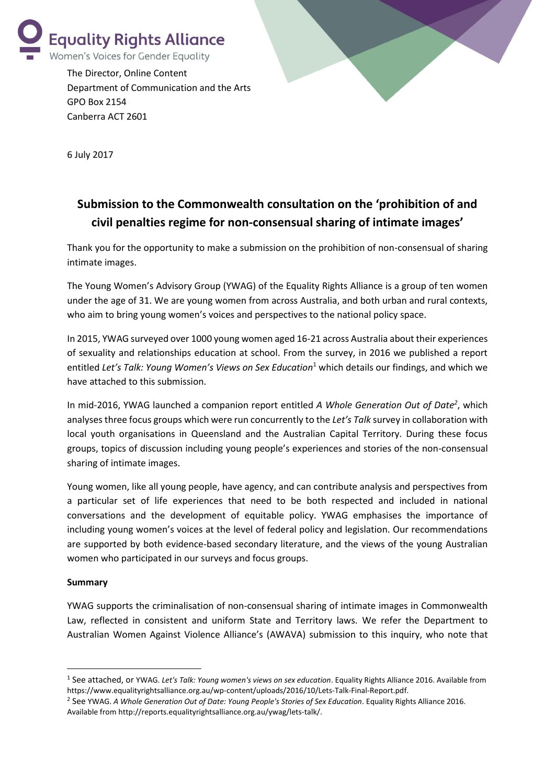

The Director, Online Content Department of Communication and the Arts GPO Box 2154 Canberra ACT 2601



6 July 2017

# **Submission to the Commonwealth consultation on the 'prohibition of and civil penalties regime for non-consensual sharing of intimate images'**

Thank you for the opportunity to make a submission on the prohibition of non-consensual of sharing intimate images.

The Young Women's Advisory Group (YWAG) of the Equality Rights Alliance is a group of ten women under the age of 31. We are young women from across Australia, and both urban and rural contexts, who aim to bring young women's voices and perspectives to the national policy space.

In 2015, YWAG surveyed over 1000 young women aged 16-21 across Australia about their experiences of sexuality and relationships education at school. From the survey, in 2016 we published a report entitled *Let's Talk: Young Women's Views on Sex Education*<sup>1</sup> which details our findings, and which we have attached to this submission.

In mid-2016, YWAG launched a companion report entitled *A Whole Generation Out of Date<sup>2</sup>* , which analyses three focus groups which were run concurrently to the *Let's Talk* survey in collaboration with local youth organisations in Queensland and the Australian Capital Territory. During these focus groups, topics of discussion including young people's experiences and stories of the non-consensual sharing of intimate images.

Young women, like all young people, have agency, and can contribute analysis and perspectives from a particular set of life experiences that need to be both respected and included in national conversations and the development of equitable policy. YWAG emphasises the importance of including young women's voices at the level of federal policy and legislation. Our recommendations are supported by both evidence-based secondary literature, and the views of the young Australian women who participated in our surveys and focus groups.

#### **Summary**

**.** 

YWAG supports the criminalisation of non-consensual sharing of intimate images in Commonwealth Law, reflected in consistent and uniform State and Territory laws. We refer the Department to Australian Women Against Violence Alliance's (AWAVA) submission to this inquiry, who note that

<sup>1</sup> See attached, or YWAG. *Let's Talk: Young women's views on sex education*. Equality Rights Alliance 2016. Available from [https://www.equalityrightsalliance.org.au/wp-content/uploads/2016/10/Lets-Talk-Final-Report.pdf.](https://www.equalityrightsalliance.org.au/wp-content/uploads/2016/10/Lets-Talk-Final-Report.pdf)

<sup>2</sup> See YWAG. *A Whole Generation Out of Date: Young People's Stories of Sex Education*. Equality Rights Alliance 2016. Available fro[m http://reports.equalityrightsalliance.org.au/ywag/lets-talk/.](http://reports.equalityrightsalliance.org.au/ywag/lets-talk/)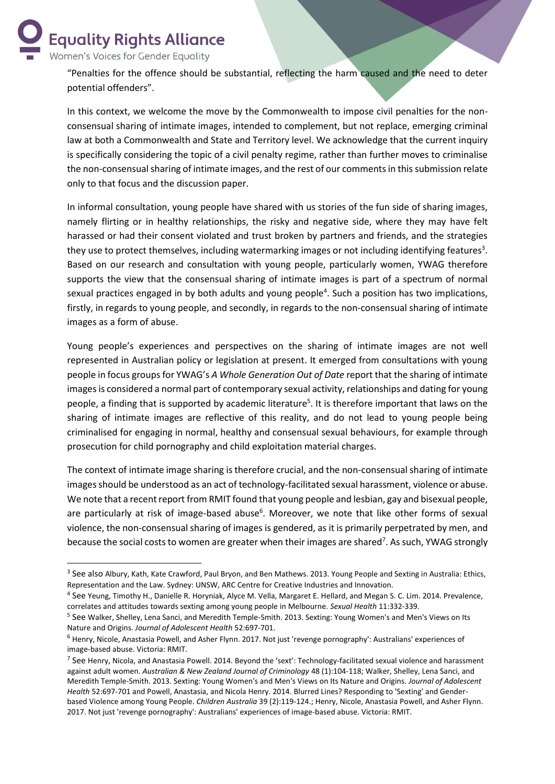**Equality Rights Alliance** Women's Voices for Gender Equality

**.** 

"Penalties for the offence should be substantial, reflecting the harm caused and the need to deter potential offenders".

In this context, we welcome the move by the Commonwealth to impose civil penalties for the nonconsensual sharing of intimate images, intended to complement, but not replace, emerging criminal law at both a Commonwealth and State and Territory level. We acknowledge that the current inquiry is specifically considering the topic of a civil penalty regime, rather than further moves to criminalise the non-consensual sharing of intimate images, and the rest of our comments in this submission relate only to that focus and the discussion paper.

In informal consultation, young people have shared with us stories of the fun side of sharing images, namely flirting or in healthy relationships, the risky and negative side, where they may have felt harassed or had their consent violated and trust broken by partners and friends, and the strategies they use to protect themselves, including watermarking images or not including identifying features<sup>3</sup>. Based on our research and consultation with young people, particularly women, YWAG therefore supports the view that the consensual sharing of intimate images is part of a spectrum of normal sexual practices engaged in by both adults and young people<sup>4</sup>. Such a position has two implications, firstly, in regards to young people, and secondly, in regards to the non-consensual sharing of intimate images as a form of abuse.

Young people's experiences and perspectives on the sharing of intimate images are not well represented in Australian policy or legislation at present. It emerged from consultations with young people in focus groups for YWAG's *A Whole Generation Out of Date* report that the sharing of intimate images is considered a normal part of contemporary sexual activity, relationships and dating for young people, a finding that is supported by academic literature<sup>5</sup>. It is therefore important that laws on the sharing of intimate images are reflective of this reality, and do not lead to young people being criminalised for engaging in normal, healthy and consensual sexual behaviours, for example through prosecution for child pornography and child exploitation material charges.

The context of intimate image sharing is therefore crucial, and the non-consensual sharing of intimate images should be understood as an act of technology-facilitated sexual harassment, violence or abuse. We note that a recent report from RMIT found that young people and lesbian, gay and bisexual people, are particularly at risk of image-based abuse<sup>6</sup>. Moreover, we note that like other forms of sexual violence, the non-consensual sharing of images is gendered, as it is primarily perpetrated by men, and because the social costs to women are greater when their images are shared<sup>7</sup>. As such, YWAG strongly

<sup>&</sup>lt;sup>3</sup> See also Albury, Kath, Kate Crawford, Paul Bryon, and Ben Mathews. 2013. Young People and Sexting in Australia: Ethics, Representation and the Law. Sydney: UNSW, ARC Centre for Creative Industries and Innovation.

<sup>&</sup>lt;sup>4</sup> See Yeung, Timothy H., Danielle R. Horyniak, Alyce M. Vella, Margaret E. Hellard, and Megan S. C. Lim. 2014. Prevalence, correlates and attitudes towards sexting among young people in Melbourne. *Sexual Health* 11:332-339.

<sup>&</sup>lt;sup>5</sup> See Walker, Shelley, Lena Sanci, and Meredith Temple-Smith. 2013. Sexting: Young Women's and Men's Views on Its Nature and Origins. *Journal of Adolescent Health* 52:697-701.

<sup>6</sup> Henry, Nicole, Anastasia Powell, and Asher Flynn. 2017. Not just 'revenge pornography': Australians' experiences of image-based abuse. Victoria: RMIT.

 $^7$  See Henry, Nicola, and Anastasia Powell. 2014. Beyond the 'sext': Technology-facilitated sexual violence and harassment against adult women. *Australian & New Zealand Journal of Criminology* 48 (1):104-118; Walker, Shelley, Lena Sanci, and Meredith Temple-Smith. 2013. Sexting: Young Women's and Men's Views on Its Nature and Origins. *Journal of Adolescent Health* 52:697-701 and Powell, Anastasia, and Nicola Henry. 2014. Blurred Lines? Responding to 'Sexting' and Genderbased Violence among Young People. *Children Australia* 39 (2):119-124.; Henry, Nicole, Anastasia Powell, and Asher Flynn. 2017. Not just 'revenge pornography': Australians' experiences of image-based abuse. Victoria: RMIT.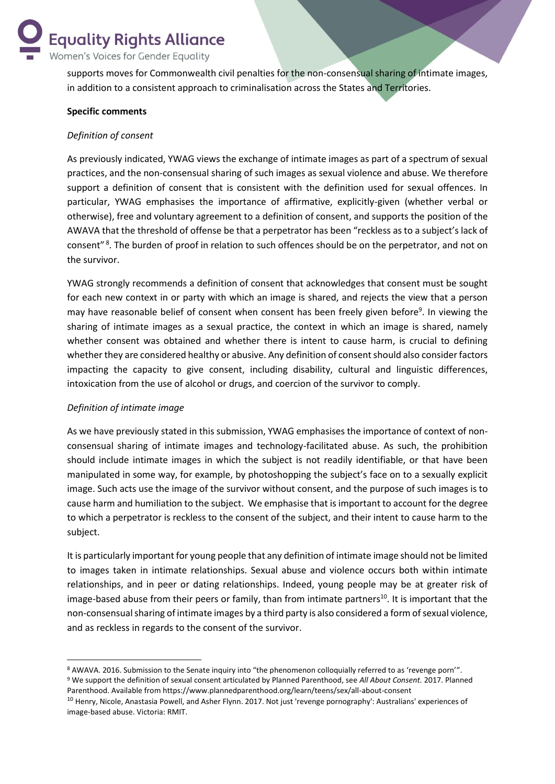**Equality Rights Alliance** Women's Voices for Gender Equality

> supports moves for Commonwealth civil penalties for the non-consensual sharing of intimate images, in addition to a consistent approach to criminalisation across the States and Territories.

#### **Specific comments**

#### *Definition of consent*

As previously indicated, YWAG views the exchange of intimate images as part of a spectrum of sexual practices, and the non-consensual sharing of such images as sexual violence and abuse. We therefore support a definition of consent that is consistent with the definition used for sexual offences. In particular, YWAG emphasises the importance of affirmative, explicitly-given (whether verbal or otherwise), free and voluntary agreement to a definition of consent, and supports the position of the AWAVA that the threshold of offense be that a perpetrator has been "reckless as to a subject's lack of consent"<sup>8</sup>. The burden of proof in relation to such offences should be on the perpetrator, and not on the survivor.

YWAG strongly recommends a definition of consent that acknowledges that consent must be sought for each new context in or party with which an image is shared, and rejects the view that a person may have reasonable belief of consent when consent has been freely given before<sup>9</sup>. In viewing the sharing of intimate images as a sexual practice, the context in which an image is shared, namely whether consent was obtained and whether there is intent to cause harm, is crucial to defining whether they are considered healthy or abusive. Any definition of consent should also consider factors impacting the capacity to give consent, including disability, cultural and linguistic differences, intoxication from the use of alcohol or drugs, and coercion of the survivor to comply.

#### *Definition of intimate image*

**.** 

As we have previously stated in this submission, YWAG emphasises the importance of context of nonconsensual sharing of intimate images and technology-facilitated abuse. As such, the prohibition should include intimate images in which the subject is not readily identifiable, or that have been manipulated in some way, for example, by photoshopping the subject's face on to a sexually explicit image. Such acts use the image of the survivor without consent, and the purpose of such images is to cause harm and humiliation to the subject. We emphasise that is important to account for the degree to which a perpetrator is reckless to the consent of the subject, and their intent to cause harm to the subject.

It is particularly important for young people that any definition of intimate image should not be limited to images taken in intimate relationships. Sexual abuse and violence occurs both within intimate relationships, and in peer or dating relationships. Indeed, young people may be at greater risk of image-based abuse from their peers or family, than from intimate partners<sup>10</sup>. It is important that the non-consensual sharing of intimate images by a third party is also considered a form of sexual violence, and as reckless in regards to the consent of the survivor.

<sup>8</sup> AWAVA. 2016. Submission to the Senate inquiry into "the phenomenon colloquially referred to as 'revenge porn'". <sup>9</sup> We support the definition of sexual consent articulated by Planned Parenthood, see *All About Consent.* 2017. Planned Parenthood. Available from https://www.plannedparenthood.org/learn/teens/sex/all-about-consent

<sup>&</sup>lt;sup>10</sup> Henry, Nicole, Anastasia Powell, and Asher Flynn. 2017. Not just 'revenge pornography': Australians' experiences of image-based abuse. Victoria: RMIT.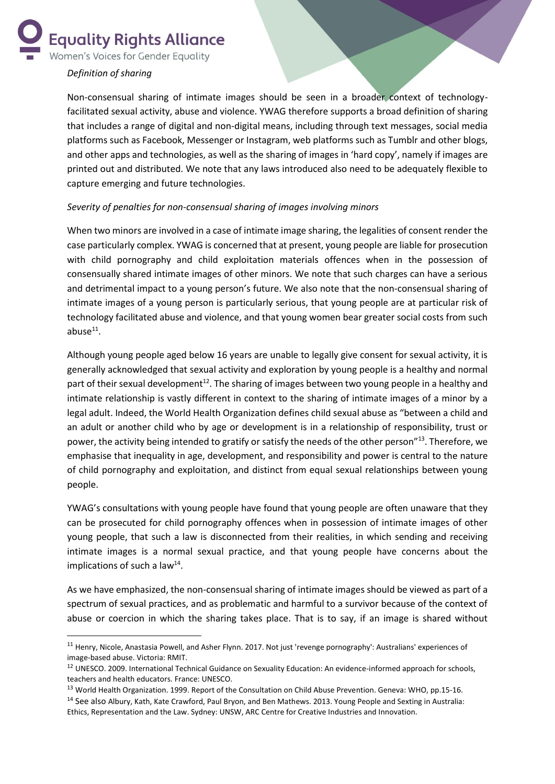**Equality Rights Alliance** 

Women's Voices for Gender Equality

## *Definition of sharing*

1

Non-consensual sharing of intimate images should be seen in a broader context of technologyfacilitated sexual activity, abuse and violence. YWAG therefore supports a broad definition of sharing that includes a range of digital and non-digital means, including through text messages, social media platforms such as Facebook, Messenger or Instagram, web platforms such as Tumblr and other blogs, and other apps and technologies, as well as the sharing of images in 'hard copy', namely if images are printed out and distributed. We note that any laws introduced also need to be adequately flexible to capture emerging and future technologies.

## *Severity of penalties for non-consensual sharing of images involving minors*

When two minors are involved in a case of intimate image sharing, the legalities of consent render the case particularly complex. YWAG is concerned that at present, young people are liable for prosecution with child pornography and child exploitation materials offences when in the possession of consensually shared intimate images of other minors. We note that such charges can have a serious and detrimental impact to a young person's future. We also note that the non-consensual sharing of intimate images of a young person is particularly serious, that young people are at particular risk of technology facilitated abuse and violence, and that young women bear greater social costs from such  $abuse<sup>11</sup>$ .

Although young people aged below 16 years are unable to legally give consent for sexual activity, it is generally acknowledged that sexual activity and exploration by young people is a healthy and normal part of their sexual development<sup>12</sup>. The sharing of images between two young people in a healthy and intimate relationship is vastly different in context to the sharing of intimate images of a minor by a legal adult. Indeed, the World Health Organization defines child sexual abuse as "between a child and an adult or another child who by age or development is in a relationship of responsibility, trust or power, the activity being intended to gratify or satisfy the needs of the other person"<sup>13</sup>. Therefore, we emphasise that inequality in age, development, and responsibility and power is central to the nature of child pornography and exploitation, and distinct from equal sexual relationships between young people.

YWAG's consultations with young people have found that young people are often unaware that they can be prosecuted for child pornography offences when in possession of intimate images of other young people, that such a law is disconnected from their realities, in which sending and receiving intimate images is a normal sexual practice, and that young people have concerns about the implications of such a law $^{14}$ .

As we have emphasized, the non-consensual sharing of intimate images should be viewed as part of a spectrum of sexual practices, and as problematic and harmful to a survivor because of the context of abuse or coercion in which the sharing takes place. That is to say, if an image is shared without

<sup>&</sup>lt;sup>11</sup> Henry, Nicole, Anastasia Powell, and Asher Flynn. 2017. Not just 'revenge pornography': Australians' experiences of image-based abuse. Victoria: RMIT.

<sup>&</sup>lt;sup>12</sup> UNESCO. 2009. International Technical Guidance on Sexuality Education: An evidence-informed approach for schools, teachers and health educators. France: UNESCO.

<sup>&</sup>lt;sup>13</sup> World Health Organization. 1999. Report of the Consultation on Child Abuse Prevention. Geneva: WHO, pp.15-16.

<sup>&</sup>lt;sup>14</sup> See also Albury, Kath, Kate Crawford, Paul Bryon, and Ben Mathews. 2013. Young People and Sexting in Australia: Ethics, Representation and the Law. Sydney: UNSW, ARC Centre for Creative Industries and Innovation.